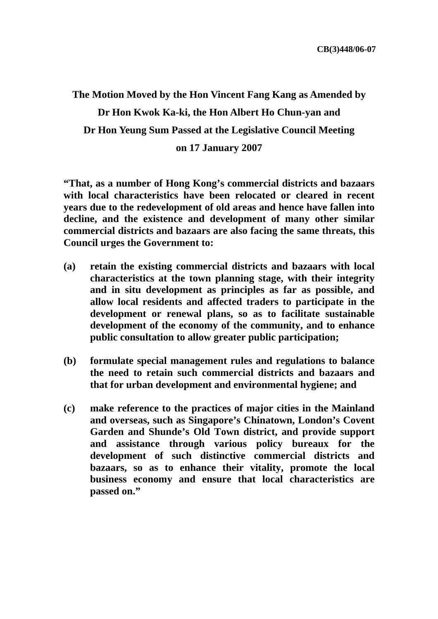**The Motion Moved by the Hon Vincent Fang Kang as Amended by Dr Hon Kwok Ka-ki, the Hon Albert Ho Chun-yan and Dr Hon Yeung Sum Passed at the Legislative Council Meeting on 17 January 2007** 

**"That, as a number of Hong Kong's commercial districts and bazaars with local characteristics have been relocated or cleared in recent years due to the redevelopment of old areas and hence have fallen into decline, and the existence and development of many other similar commercial districts and bazaars are also facing the same threats, this Council urges the Government to:** 

- **(a) retain the existing commercial districts and bazaars with local characteristics at the town planning stage, with their integrity and in situ development as principles as far as possible, and allow local residents and affected traders to participate in the development or renewal plans, so as to facilitate sustainable development of the economy of the community, and to enhance public consultation to allow greater public participation;**
- **(b) formulate special management rules and regulations to balance the need to retain such commercial districts and bazaars and that for urban development and environmental hygiene; and**
- **(c) make reference to the practices of major cities in the Mainland and overseas, such as Singapore's Chinatown, London's Covent Garden and Shunde's Old Town district, and provide support and assistance through various policy bureaux for the development of such distinctive commercial districts and bazaars, so as to enhance their vitality, promote the local business economy and ensure that local characteristics are passed on."**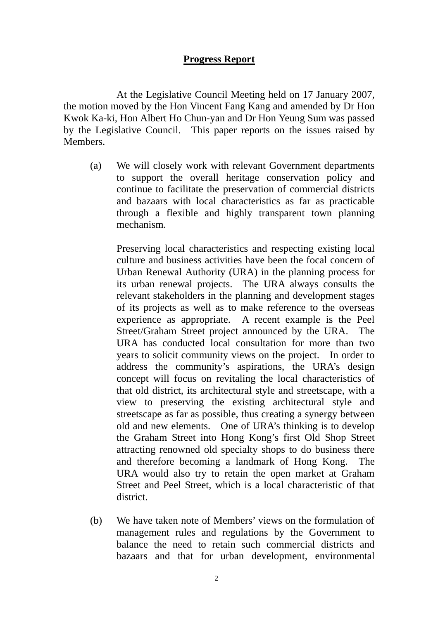## **Progress Report**

 At the Legislative Council Meeting held on 17 January 2007, the motion moved by the Hon Vincent Fang Kang and amended by Dr Hon Kwok Ka-ki, Hon Albert Ho Chun-yan and Dr Hon Yeung Sum was passed by the Legislative Council. This paper reports on the issues raised by Members.

 (a) We will closely work with relevant Government departments to support the overall heritage conservation policy and continue to facilitate the preservation of commercial districts and bazaars with local characteristics as far as practicable through a flexible and highly transparent town planning mechanism.

 Preserving local characteristics and respecting existing local culture and business activities have been the focal concern of Urban Renewal Authority (URA) in the planning process for its urban renewal projects. The URA always consults the relevant stakeholders in the planning and development stages of its projects as well as to make reference to the overseas experience as appropriate. A recent example is the Peel Street/Graham Street project announced by the URA. The URA has conducted local consultation for more than two years to solicit community views on the project. In order to address the community's aspirations, the URA's design concept will focus on revitaling the local characteristics of that old district, its architectural style and streetscape, with a view to preserving the existing architectural style and streetscape as far as possible, thus creating a synergy between old and new elements. One of URA's thinking is to develop the Graham Street into Hong Kong's first Old Shop Street attracting renowned old specialty shops to do business there and therefore becoming a landmark of Hong Kong. The URA would also try to retain the open market at Graham Street and Peel Street, which is a local characteristic of that district.

 (b) We have taken note of Members' views on the formulation of management rules and regulations by the Government to balance the need to retain such commercial districts and bazaars and that for urban development, environmental